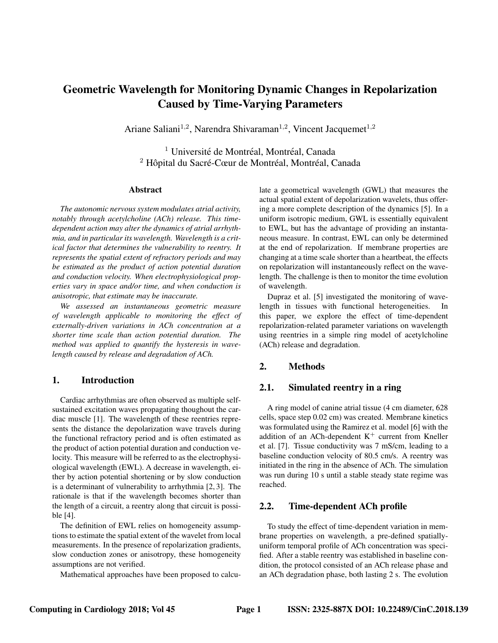# Geometric Wavelength for Monitoring Dynamic Changes in Repolarization Caused by Time-Varying Parameters

Ariane Saliani<sup>1,2</sup>, Narendra Shivaraman<sup>1,2</sup>, Vincent Jacquemet<sup>1,2</sup>

 $<sup>1</sup>$  Université de Montréal, Montréal, Canada</sup> <sup>2</sup> Hôpital du Sacré-Cœur de Montréal, Montréal, Canada

#### Abstract

*The autonomic nervous system modulates atrial activity, notably through acetylcholine (ACh) release. This timedependent action may alter the dynamics of atrial arrhythmia, and in particular its wavelength. Wavelength is a critical factor that determines the vulnerability to reentry. It represents the spatial extent of refractory periods and may be estimated as the product of action potential duration and conduction velocity. When electrophysiological properties vary in space and/or time, and when conduction is anisotropic, that estimate may be inaccurate.*

*We assessed an instantaneous geometric measure of wavelength applicable to monitoring the effect of externally-driven variations in ACh concentration at a shorter time scale than action potential duration. The method was applied to quantify the hysteresis in wavelength caused by release and degradation of ACh.*

# 1. Introduction

Cardiac arrhythmias are often observed as multiple selfsustained excitation waves propagating thoughout the cardiac muscle [1]. The wavelength of these reentries represents the distance the depolarization wave travels during the functional refractory period and is often estimated as the product of action potential duration and conduction velocity. This measure will be referred to as the electrophysiological wavelength (EWL). A decrease in wavelength, either by action potential shortening or by slow conduction is a determinant of vulnerability to arrhythmia [2, 3]. The rationale is that if the wavelength becomes shorter than the length of a circuit, a reentry along that circuit is possible [4].

The definition of EWL relies on homogeneity assumptions to estimate the spatial extent of the wavelet from local measurements. In the presence of repolarization gradients, slow conduction zones or anisotropy, these homogeneity assumptions are not verified.

Mathematical approaches have been proposed to calcu-

late a geometrical wavelength (GWL) that measures the actual spatial extent of depolarization wavelets, thus offering a more complete description of the dynamics [5]. In a uniform isotropic medium, GWL is essentially equivalent to EWL, but has the advantage of providing an instantaneous measure. In contrast, EWL can only be determined at the end of repolarization. If membrane properties are changing at a time scale shorter than a heartbeat, the effects on repolarization will instantaneously reflect on the wavelength. The challenge is then to monitor the time evolution of wavelength.

Dupraz et al. [5] investigated the monitoring of wavelength in tissues with functional heterogeneities. In this paper, we explore the effect of time-dependent repolarization-related parameter variations on wavelength using reentries in a simple ring model of acetylcholine (ACh) release and degradation.

# 2. Methods

# 2.1. Simulated reentry in a ring

A ring model of canine atrial tissue (4 cm diameter, 628 cells, space step 0.02 cm) was created. Membrane kinetics was formulated using the Ramirez et al. model [6] with the addition of an ACh-dependent  $K^+$  current from Kneller et al. [7]. Tissue conductivity was 7 mS/cm, leading to a baseline conduction velocity of 80.5 cm/s. A reentry was initiated in the ring in the absence of ACh. The simulation was run during 10 s until a stable steady state regime was reached.

# 2.2. Time-dependent ACh profile

To study the effect of time-dependent variation in membrane properties on wavelength, a pre-defined spatiallyuniform temporal profile of ACh concentration was specified. After a stable reentry was established in baseline condition, the protocol consisted of an ACh release phase and an ACh degradation phase, both lasting 2 s. The evolution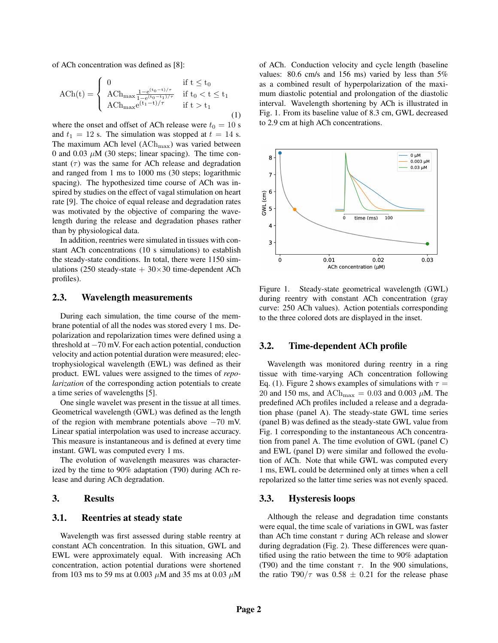of ACh concentration was defined as [8]:

$$
\rm{ACh}(t) = \left\{ \begin{array}{ll} 0 & \text{if } t \leq t_0 \\ \rm{ACh}_{\rm{max}} \frac{1 - e^{(t_0 - t_1)/\tau}}{1 - e^{(t_0 - t_1)/\tau}} & \text{if } t_0 < t \leq t_1 \\ \rm{ACh}_{\rm{max}} e^{(t_1 - t)/\tau} & \text{if } t > t_1 \end{array} \right. \tag{1}
$$

where the onset and offset of ACh release were  $t_0 = 10$  s and  $t_1 = 12$  s. The simulation was stopped at  $t = 14$  s. The maximum ACh level  $(ACh_{max})$  was varied between 0 and 0.03  $\mu$ M (30 steps; linear spacing). The time constant  $(\tau)$  was the same for ACh release and degradation and ranged from 1 ms to 1000 ms (30 steps; logarithmic spacing). The hypothesized time course of ACh was inspired by studies on the effect of vagal stimulation on heart rate [9]. The choice of equal release and degradation rates was motivated by the objective of comparing the wavelength during the release and degradation phases rather than by physiological data.

In addition, reentries were simulated in tissues with constant ACh concentrations (10 s simulations) to establish the steady-state conditions. In total, there were 1150 simulations (250 steady-state  $+30\times30$  time-dependent ACh profiles).

#### 2.3. Wavelength measurements

During each simulation, the time course of the membrane potential of all the nodes was stored every 1 ms. Depolarization and repolarization times were defined using a threshold at −70 mV. For each action potential, conduction velocity and action potential duration were measured; electrophysiological wavelength (EWL) was defined as their product. EWL values were assigned to the times of *repolarization* of the corresponding action potentials to create a time series of wavelengths [5].

One single wavelet was present in the tissue at all times. Geometrical wavelength (GWL) was defined as the length of the region with membrane potentials above −70 mV. Linear spatial interpolation was used to increase accuracy. This measure is instantaneous and is defined at every time instant. GWL was computed every 1 ms.

The evolution of wavelength measures was characterized by the time to 90% adaptation (T90) during ACh release and during ACh degradation.

#### 3. Results

# 3.1. Reentries at steady state

Wavelength was first assessed during stable reentry at constant ACh concentration. In this situation, GWL and EWL were approximately equal. With increasing ACh concentration, action potential durations were shortened from 103 ms to 59 ms at 0.003  $\mu$ M and 35 ms at 0.03  $\mu$ M of ACh. Conduction velocity and cycle length (baseline values: 80.6 cm/s and 156 ms) varied by less than 5% as a combined result of hyperpolarization of the maximum diastolic potential and prolongation of the diastolic interval. Wavelength shortening by ACh is illustrated in Fig. 1. From its baseline value of 8.3 cm, GWL decreased to 2.9 cm at high ACh concentrations.



Figure 1. Steady-state geometrical wavelength (GWL) during reentry with constant ACh concentration (gray curve: 250 ACh values). Action potentials corresponding to the three colored dots are displayed in the inset.

### 3.2. Time-dependent ACh profile

Wavelength was monitored during reentry in a ring tissue with time-varying ACh concentration following Eq. (1). Figure 2 shows examples of simulations with  $\tau =$ 20 and 150 ms, and  $ACh_{\text{max}} = 0.03$  and 0.003  $\mu$ M. The predefined ACh profiles included a release and a degradation phase (panel A). The steady-state GWL time series (panel B) was defined as the steady-state GWL value from Fig. 1 corresponding to the instantaneous ACh concentration from panel A. The time evolution of GWL (panel C) and EWL (panel D) were similar and followed the evolution of ACh. Note that while GWL was computed every 1 ms, EWL could be determined only at times when a cell repolarized so the latter time series was not evenly spaced.

#### 3.3. Hysteresis loops

Although the release and degradation time constants were equal, the time scale of variations in GWL was faster than ACh time constant  $\tau$  during ACh release and slower during degradation (Fig. 2). These differences were quantified using the ratio between the time to 90% adaptation (T90) and the time constant  $\tau$ . In the 900 simulations, the ratio T90/ $\tau$  was 0.58  $\pm$  0.21 for the release phase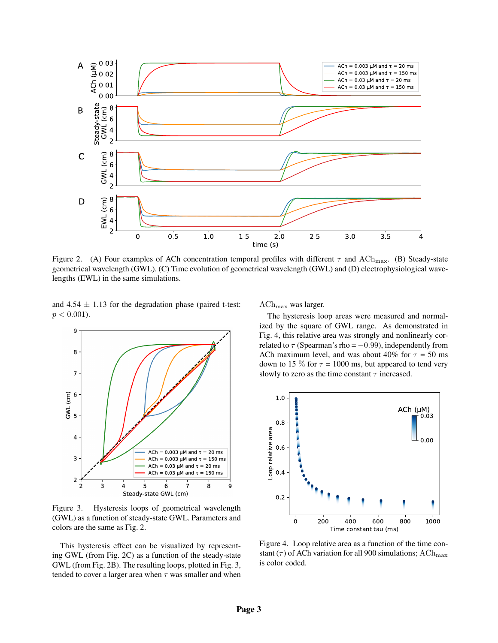

Figure 2. (A) Four examples of ACh concentration temporal profiles with different  $\tau$  and ACh<sub>max</sub>. (B) Steady-state geometrical wavelength (GWL). (C) Time evolution of geometrical wavelength (GWL) and (D) electrophysiological wavelengths (EWL) in the same simulations.

and  $4.54 \pm 1.13$  for the degradation phase (paired t-test:  $p < 0.001$ ).



Figure 3. Hysteresis loops of geometrical wavelength (GWL) as a function of steady-state GWL. Parameters and colors are the same as Fig. 2.

This hysteresis effect can be visualized by representing GWL (from Fig. 2C) as a function of the steady-state GWL (from Fig. 2B). The resulting loops, plotted in Fig. 3, tended to cover a larger area when  $\tau$  was smaller and when  $ACh_{max}$  was larger.

The hysteresis loop areas were measured and normalized by the square of GWL range. As demonstrated in Fig. 4, this relative area was strongly and nonlinearly correlated to  $\tau$  (Spearman's rho =  $-0.99$ ), independently from ACh maximum level, and was about 40% for  $\tau = 50$  ms down to 15 % for  $\tau = 1000$  ms, but appeared to tend very slowly to zero as the time constant  $\tau$  increased.



Figure 4. Loop relative area as a function of the time constant ( $\tau$ ) of ACh variation for all 900 simulations; ACh<sub>max</sub> is color coded.